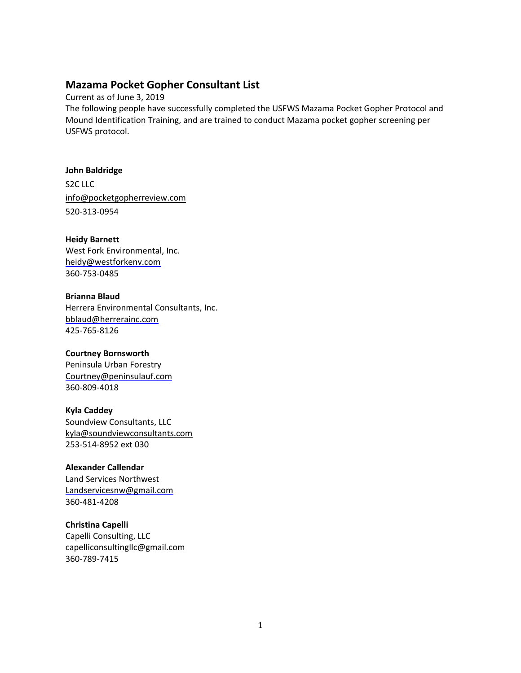## **Mazama Pocket Gopher Consultant List**

Current as of June 3, 2019 The following people have successfully completed the USFWS Mazama Pocket Gopher Protocol and Mound Identification Training, and are trained to conduct Mazama pocket gopher screening per USFWS protocol.

**John Baldridge**  S2C LLC [info@pocketgopherreview.com](mailto:info@pocketgopherreview.com) 520-313-0954

**Heidy Barnett** West Fork Environmental, Inc. [heidy@westforkenv.com](mailto:heidy@westforkenv.com) 360-753-0485

**Brianna Blaud** Herrera Environmental Consultants, Inc. [bblaud@herrerainc.com](mailto:bblaud@herrerainc.com) 425-765-8126

**Courtney Bornsworth**  Peninsula Urban Forestry [Courtney@peninsulauf.com](mailto:Courtney@peninsulauf.com) 360-809-4018

**Kyla Caddey**  Soundview Consultants, LLC [kyla@soundviewconsultants.com](mailto:kyla@soundviewconsultants.com) 253-514-8952 ext 030

**Alexander Callendar** Land Services Northwest [Landservicesnw@gmail.com](mailto:Landservicesnw@gmail.com) 360-481-4208

**Christina Capelli** Capelli Consulting, LLC [capelliconsultingllc@gmail.com](mailto:capelliconsultingllc@gmail.com) 360-789-7415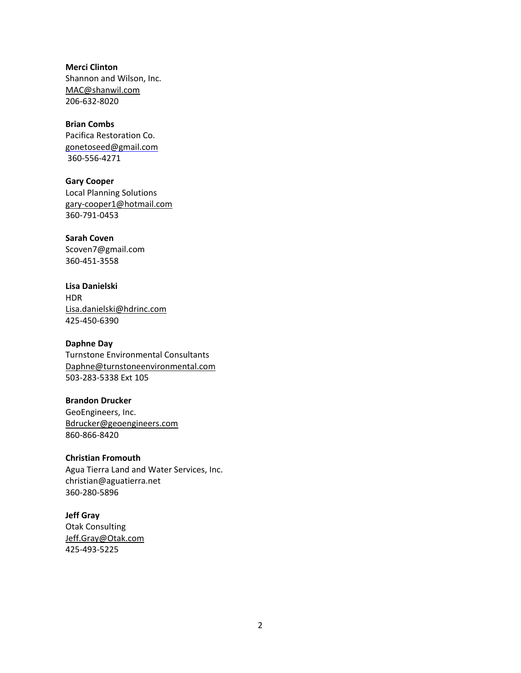**Merci Clinton**  Shannon and Wilson, Inc. [MAC@shanwil.com](mailto:MAC@shanwil.com) 206-632-8020

**Brian Combs** Pacifica Restoration Co. [gonetoseed@gmail.com](mailto:gonetoseed@gmail.com) 360-556-4271

**Gary Cooper** [Local](mailto:gary-cooper1@hotmail.com) Planning Solutions [gary-cooper1@hotmail.com](mailto:gary-cooper1@hotmail.com) 360-791-0453

**Sarah Coven**  [Scoven7@gmail.com](mailto:Scoven7@gmail.com) 360-451-3558

**Lisa Danielski** HDR [Lisa.danielski@hdrinc.com](file:///C:/Users/snelson/Desktop/Lisa.danielski@hdrinc.com)  425-450-6390

**Daphne Day**  Turnstone Environmental Consultants [Daphne@turnstoneenvironmental.com](mailto:Daphne@turnstoneenvironmental.com) 503-283-5338 Ext 105

**Brandon Drucker**  GeoEngineers, Inc. [Bdrucker@geoengineers.com](mailto:Bdrucker@geoengineers.com) 860-866-8420

**Christian Fromouth** Agua Tierra Land and Water Services, Inc. christian@aguatierra.net 360-280-5896

**Jeff Gray**  Otak Consulting [Jeff.Gray@Otak.com](mailto:Jeff.Gray@Otak.com) 425-493-5225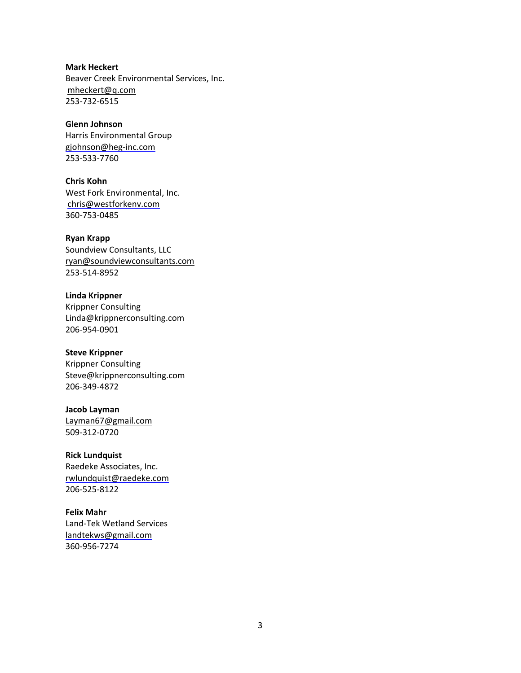**Mark Heckert** Beaver Creek Environmental Services, Inc. [mheckert@q.com](mailto:mheckert@q.com) 253-732-6515

**Glenn Johnson** Harris Environmental Group [gjohnson@heg-inc.com](mailto:gjohnson@heg-inc.com) 253-533-7760

**Chris Kohn** West Fork Environmental, Inc. [chris@westforkenv.com](mailto:chris@westforkenv.com) 360-753-0485

**Ryan Krapp**  Soundview Consultants, LLC [ryan@soundviewconsultants.com](mailto:ryan@soundviewconsultants.com) 253-514-8952

**Linda Krippner** Krippner Consulting [Linda@krippnerconsulting.com](mailto:Linda@krippnerconsulting.com) 206-954-0901

**Steve Krippner** Krippner Consulting [Steve@krippnerconsulting.com](mailto:Steve@krippnerconsulting.com) 206-349-4872

**Jacob Layman**  [Layman67@gmail.com](mailto:Layman67@gmail.com) 509-312-0720

**Rick Lundquist** Raedeke Associates, Inc. [rwlundquist@raedeke.com](mailto:rwlundquist@raedeke.com) 206-525-8122

**Felix Mahr** Land-Tek Wetland Services [landtekws@gmail.com](mailto:landtekws@gmail.com) 360-956-7274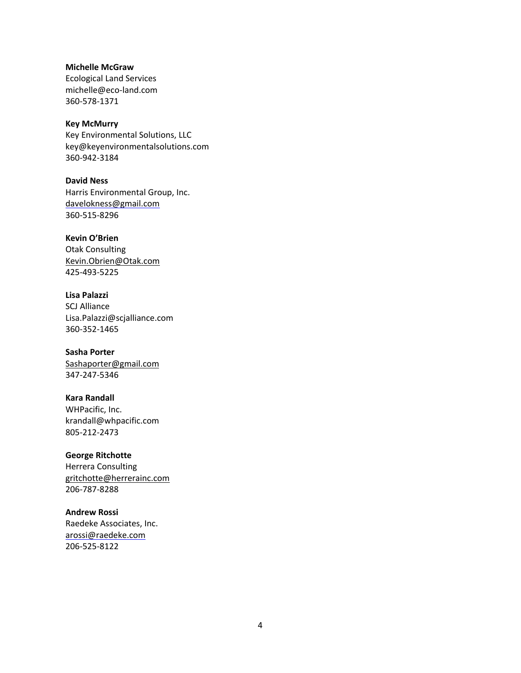**Michelle McGraw**  Ecological Land Services [michelle@eco-land.com](mailto:michelle@eco-land.com) 360-578-1371

**Key McMurry** Key Environmental Solutions, LLC [key@keyenvironmentalsolutions.com](mailto:key@keyenvironmentalsolutions.com) 360-942-3184

**David Ness** Harris Environmental Group, Inc. [davelokness@gmail.com](mailto:davelokness@gmail.com) 360-515-8296

**Kevin O'Brien**  Otak Consulting [Kevin.Obrien@Otak.com](mailto:Kevin.Obrien@Otak.com) 425-493-5225

**Lisa Palazzi** SCJ Alliance [Lisa.Palazzi@scjalliance.com](mailto:Lisa.Palazzi@scjalliance.com) 360-352-1465

**Sasha Porter** [Sashaporter@gmail.com](mailto:Sashaporter@gmail.com) 347-247-5346

**Kara Randall** WHPacific, Inc. [krandall@whpacific.com](mailto:krandall@whpacific.com) 805-212-2473

**George Ritchotte** Herrera Consulting [gritchotte@herrerainc.com](mailto:gritchotte@herrerainc.com) 206-787-8288

**Andrew Rossi** Raedeke Associates, Inc. [arossi@raedeke.com](mailto:arossi@raedeke.com) 206-525-8122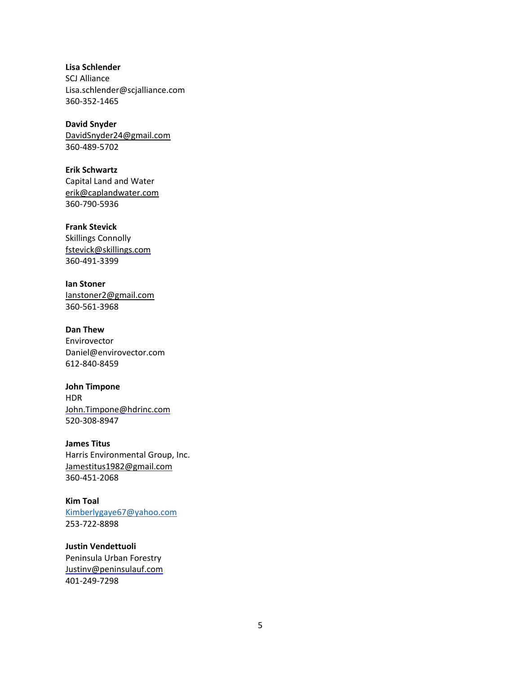**Lisa Schlender** SCJ Alliance [Lisa.schlender@scjalliance.com](mailto:Lisa.schlender@scjalliance.com) 360-352-1465

**David Snyder**  [DavidSnyder24@gmail.com](mailto:DavidSnyder24@gmail.com) 360-489-5702

**Erik Schwartz**  Capital Land and Water [erik@caplandwater.com](mailto:erik@caplandwater.com) 360-790-5936

**Frank Stevick** Skillings Connolly [fstevick@skillings.com](mailto:fstevick@skillings.com) 360-491-3399

**Ian Stoner**  [Ianstoner2@gmail.com](mailto:Ianstoner2@gmail.com) 360-561-3968

**Dan Thew** Envirovector [Daniel@envirovector.com](mailto:Daniel@envirovector.com) 612-840-8459

**John Timpone** HDR [John.Timpone@hdrinc.com](mailto:John.Timpone@hdrinc.com) 520-308-8947

**James Titus** Harris Environmental Group, Inc. [Jamestitus1982@gmail.com](mailto:Jamestitus1982@gmail.com) 360-451-2068

**Kim Toal**  [Kimberlygaye67@yahoo.com](mailto:Kimberlygaye67@yahoo.com) 253-722-8898

**Justin Vendettuoli**  Peninsula Urban Forestry [Justinv@peninsulauf.com](mailto:Justinv@peninsulauf.com) 401-249-7298